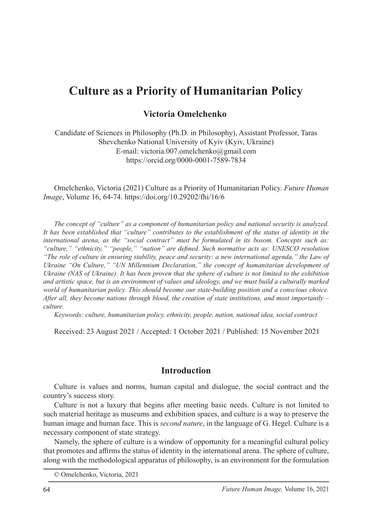# **Culture as a Priority of Humanitarian Policy**

#### **Victoria Omelchenko**<sup>1</sup>

Candidate of Sciences in Philosophy (Ph.D. in Philosophy), Assistant Professor, Taras Shevchenko National University of Kyiv (Kyiv, Ukraine) E-mail: victoria.007.omelchenko@gmail.com https://orcid.org/0000-0001-7589-7834

Omelchenko, Victoria (2021) Culture as a Priority of Humanitarian Policy. *Future Human Image*, Volume 16, 64-74. https://doi.org/10.29202/fhi/16/6

*The concept of "culture" as a component of humanitarian policy and national security is analyzed. It has been established that "culture" contributes to the establishment of the status of identity in the international arena, as the "social contract" must be formulated in its bosom. Concepts such as: "culture," "ethnicity," "people," "nation" are defined. Such normative acts as: UNESCO resolution "The role of culture in ensuring stability, peace and security: a new international agenda," the Law of Ukraine "On Culture," "UN Millennium Declaration," the concept of humanitarian development of Ukraine (NAS of Ukraine). It has been proven that the sphere of culture is not limited to the exhibition and artistic space, but is an environment of values and ideology, and we must build a culturally marked world of humanitarian policy. This should become our state-building position and a conscious choice. After all, they become nations through blood, the creation of state institutions, and most importantly – culture.*

*Keywords: culture, humanitarian policy, ethnicity, people, nation, national idea, social contract*

Received: 23 August 2021 / Accepted: 1 October 2021 / Published: 15 November 2021

#### **Introduction**

Culture is values and norms, human capital and dialogue, the social contract and the country's success story.

Culture is not a luxury that begins after meeting basic needs. Culture is not limited to such material heritage as museums and exhibition spaces, and culture is a way to preserve the human image and human face. This is *second nature*, in the language of G. Hegel. Culture is a necessary component of state strategy.

Namely, the sphere of culture is a window of opportunity for a meaningful cultural policy that promotes and affirms the status of identity in the international arena. The sphere of culture, along with the methodological apparatus of philosophy, is an environment for the formulation

<sup>©</sup> Omelchenko, Victoria, 2021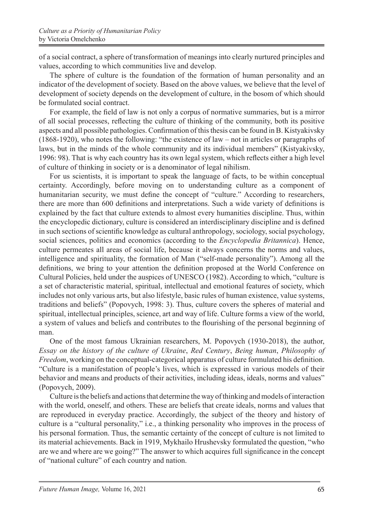of a social contract, a sphere of transformation of meanings into clearly nurtured principles and values, according to which communities live and develop.

The sphere of culture is the foundation of the formation of human personality and an indicator of the development of society. Based on the above values, we believe that the level of development of society depends on the development of culture, in the bosom of which should be formulated social contract.

For example, the field of law is not only a corpus of normative summaries, but is a mirror of all social processes, reflecting the culture of thinking of the community, both its positive aspects and all possible pathologies. Confirmation of this thesis can be found in B. Kistyakivsky (1868-1920), who notes the following: "the existence of law – not in articles or paragraphs of laws, but in the minds of the whole community and its individual members" (Kistyakivsky, 1996: 98). That is why each country has its own legal system, which reflects either a high level of culture of thinking in society or is a denominator of legal nihilism.

For us scientists, it is important to speak the language of facts, to be within conceptual certainty. Accordingly, before moving on to understanding culture as a component of humanitarian security, we must define the concept of "culture." According to researchers, there are more than 600 definitions and interpretations. Such a wide variety of definitions is explained by the fact that culture extends to almost every humanities discipline. Thus, within the encyclopedic dictionary, culture is considered an interdisciplinary discipline and is defined in such sections of scientific knowledge as cultural anthropology, sociology, social psychology, social sciences, politics and economics (according to the *Encyclopedia Britannica*). Hence, culture permeates all areas of social life, because it always concerns the norms and values, intelligence and spirituality, the formation of Man ("self-made personality"). Among all the definitions, we bring to your attention the definition proposed at the World Conference on Cultural Policies, held under the auspices of UNESCO (1982). According to which, "culture is a set of characteristic material, spiritual, intellectual and emotional features of society, which includes not only various arts, but also lifestyle, basic rules of human existence, value systems, traditions and beliefs" (Popovych, 1998: 3). Thus, culture covers the spheres of material and spiritual, intellectual principles, science, art and way of life. Culture forms a view of the world, a system of values and beliefs and contributes to the flourishing of the personal beginning of man.

One of the most famous Ukrainian researchers, M. Popovych (1930-2018), the author, *Essay on the history of the culture of Ukraine*, *Red Century*, *Being human*, *Philosophy of Freedom*, working on the conceptual-categorical apparatus of culture formulated his definition. "Culture is a manifestation of people's lives, which is expressed in various models of their behavior and means and products of their activities, including ideas, ideals, norms and values" (Popovych, 2009).

Culture is the beliefs and actions that determine the way of thinking and models of interaction with the world, oneself, and others. These are beliefs that create ideals, norms and values that are reproduced in everyday practice. Accordingly, the subject of the theory and history of culture is a "cultural personality," i.e., a thinking personality who improves in the process of his personal formation. Thus, the semantic certainty of the concept of culture is not limited to its material achievements. Back in 1919, Mykhailo Hrushevsky formulated the question, "who are we and where are we going?" The answer to which acquires full significance in the concept of "national culture" of each country and nation.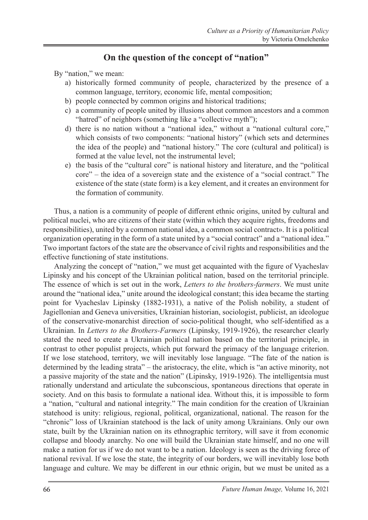### **On the question of the concept of "nation"**

By "nation," we mean:

- a) historically formed community of people, characterized by the presence of a common language, territory, economic life, mental composition;
- b) people connected by common origins and historical traditions;
- c) a community of people united by illusions about common ancestors and a common "hatred" of neighbors (something like a "collective myth");
- d) there is no nation without a "national idea," without a "national cultural core," which consists of two components: "national history" (which sets and determines the idea of the people) and "national history." The core (cultural and political) is formed at the value level, not the instrumental level;
- e) the basis of the "cultural core" is national history and literature, and the "political core" – the idea of a sovereign state and the existence of a "social contract." The existence of the state (state form) is a key element, and it creates an environment for the formation of community.

Thus, a nation is a community of people of different ethnic origins, united by cultural and political nuclei, who are citizens of their state (within which they acquire rights, freedoms and responsibilities), united by a common national idea, a common social contract». It is a political organization operating in the form of a state united by a "social contract" and a "national idea." Two important factors of the state are the observance of civil rights and responsibilities and the effective functioning of state institutions.

Analyzing the concept of "nation," we must get acquainted with the figure of Vyacheslav Lipinsky and his concept of the Ukrainian political nation, based on the territorial principle. The essence of which is set out in the work, *Letters to the brothers-farmers*. We must unite around the "national idea," unite around the ideological constant; this idea became the starting point for Vyacheslav Lipinsky (1882-1931), a native of the Polish nobility, a student of Jagiellonian and Geneva universities, Ukrainian historian, sociologist, publicist, an ideologue of the conservative-monarchist direction of socio-political thought, who self-identified as a Ukrainian. In *Letters to the Brothers-Farmers* (Lipinsky, 1919-1926), the researcher clearly stated the need to create a Ukrainian political nation based on the territorial principle, in contrast to other populist projects, which put forward the primacy of the language criterion. If we lose statehood, territory, we will inevitably lose language. "The fate of the nation is determined by the leading strata" – the aristocracy, the elite, which is "an active minority, not a passive majority of the state and the nation" (Lipinsky, 1919-1926). The intelligentsia must rationally understand and articulate the subconscious, spontaneous directions that operate in society. And on this basis to formulate a national idea. Without this, it is impossible to form a "nation, "cultural and national integrity." The main condition for the creation of Ukrainian statehood is unity: religious, regional, political, organizational, national. The reason for the "chronic" loss of Ukrainian statehood is the lack of unity among Ukrainians. Only our own state, built by the Ukrainian nation on its ethnographic territory, will save it from economic collapse and bloody anarchy. No one will build the Ukrainian state himself, and no one will make a nation for us if we do not want to be a nation. Ideology is seen as the driving force of national revival. If we lose the state, the integrity of our borders, we will inevitably lose both language and culture. We may be different in our ethnic origin, but we must be united as a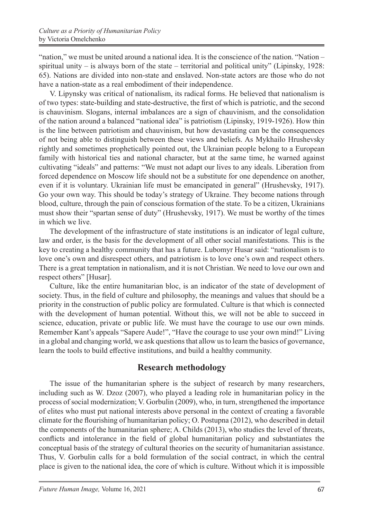"nation," we must be united around a national idea. It is the conscience of the nation. "Nation – spiritual unity – is always born of the state – territorial and political unity" (Lipinsky,  $1928$ : 65). Nations are divided into non-state and enslaved. Non-state actors are those who do not have a nation-state as a real embodiment of their independence.

V. Lipynsky was critical of nationalism, its radical forms. He believed that nationalism is of two types: state-building and state-destructive, the first of which is patriotic, and the second is chauvinism. Slogans, internal imbalances are a sign of chauvinism, and the consolidation of the nation around a balanced "national idea" is patriotism (Lipinsky, 1919-1926). How thin is the line between patriotism and chauvinism, but how devastating can be the consequences of not being able to distinguish between these views and beliefs. As Mykhailo Hrushevsky rightly and sometimes prophetically pointed out, the Ukrainian people belong to a European family with historical ties and national character, but at the same time, he warned against cultivating "ideals" and patterns: "We must not adapt our lives to any ideals. Liberation from forced dependence on Moscow life should not be a substitute for one dependence on another, even if it is voluntary. Ukrainian life must be emancipated in general" (Hrushevsky, 1917). Go your own way. This should be today's strategy of Ukraine. They become nations through blood, culture, through the pain of conscious formation of the state. To be a citizen, Ukrainians must show their "spartan sense of duty" (Hrushevsky, 1917). We must be worthy of the times in which we live.

The development of the infrastructure of state institutions is an indicator of legal culture, law and order, is the basis for the development of all other social manifestations. This is the key to creating a healthy community that has a future. Lubomyr Husar said: "nationalism is to love one's own and disrespect others, and patriotism is to love one's own and respect others. There is a great temptation in nationalism, and it is not Christian. We need to love our own and respect others" [Husar].

Culture, like the entire humanitarian bloc, is an indicator of the state of development of society. Thus, in the field of culture and philosophy, the meanings and values that should be a priority in the construction of public policy are formulated. Culture is that which is connected with the development of human potential. Without this, we will not be able to succeed in science, education, private or public life. We must have the courage to use our own minds. Remember Kant's appeals "Sapere Aude!", "Have the courage to use your own mind!" Living in a global and changing world, we ask questions that allow us to learn the basics of governance, learn the tools to build effective institutions, and build a healthy community.

### **Research methodology**

The issue of the humanitarian sphere is the subject of research by many researchers, including such as W. Dzoz (2007), who played a leading role in humanitarian policy in the process of social modernization; V. Gorbulin (2009), who, in turn, strengthened the importance of elites who must put national interests above personal in the context of creating a favorable climate for the flourishing of humanitarian policy; O. Postupna (2012), who described in detail the components of the humanitarian sphere; A. Childs (2013), who studies the level of threats, conflicts and intolerance in the field of global humanitarian policy and substantiates the conceptual basis of the strategy of cultural theories on the security of humanitarian assistance. Thus, V. Gorbulin calls for a bold formulation of the social contract, in which the central place is given to the national idea, the core of which is culture. Without which it is impossible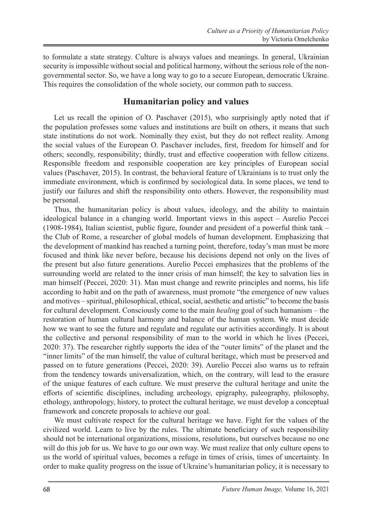to formulate a state strategy. Culture is always values and meanings. In general, Ukrainian security is impossible without social and political harmony, without the serious role of the nongovernmental sector. So, we have a long way to go to a secure European, democratic Ukraine. This requires the consolidation of the whole society, our common path to success.

### **Humanitarian policy and values**

Let us recall the opinion of O. Paschaver (2015), who surprisingly aptly noted that if the population professes some values and institutions are built on others, it means that such state institutions do not work. Nominally they exist, but they do not reflect reality. Among the social values of the European O. Paschaver includes, first, freedom for himself and for others; secondly, responsibility; thirdly, trust and effective cooperation with fellow citizens. Responsible freedom and responsible cooperation are key principles of European social values (Paschaver, 2015). In contrast, the behavioral feature of Ukrainians is to trust only the immediate environment, which is confirmed by sociological data. In some places, we tend to justify our failures and shift the responsibility onto others. However, the responsibility must be personal.

Thus, the humanitarian policy is about values, ideology, and the ability to maintain ideological balance in a changing world. Important views in this aspect – Aurelio Peccei (1908-1984), Italian scientist, public figure, founder and president of a powerful think tank – the Club of Rome, a researcher of global models of human development. Emphasizing that the development of mankind has reached a turning point, therefore, today's man must be more focused and think like never before, because his decisions depend not only on the lives of the present but also future generations. Aurelio Peccei emphasizes that the problems of the surrounding world are related to the inner crisis of man himself; the key to salvation lies in man himself (Peccei, 2020: 31). Man must change and rewrite principles and norms, his life according to habit and on the path of awareness, must promote "the emergence of new values and motives – spiritual, philosophical, ethical, social, aesthetic and artistic" to become the basis for cultural development. Consciously come to the main *healing* goal of such humanism – the restoration of human cultural harmony and balance of the human system. We must decide how we want to see the future and regulate and regulate our activities accordingly. It is about the collective and personal responsibility of man to the world in which he lives (Peccei, 2020: 37). The researcher rightly supports the idea of the "outer limits" of the planet and the "inner limits" of the man himself, the value of cultural heritage, which must be preserved and passed on to future generations (Peccei, 2020: 39). Aurelio Peccei also warns us to refrain from the tendency towards universalization, which, on the contrary, will lead to the erasure of the unique features of each culture. We must preserve the cultural heritage and unite the efforts of scientific disciplines, including archeology, epigraphy, paleography, philosophy, ethology, anthropology, history, to protect the cultural heritage, we must develop a conceptual framework and concrete proposals to achieve our goal.

We must cultivate respect for the cultural heritage we have. Fight for the values of the civilized world. Learn to live by the rules. The ultimate beneficiary of such responsibility should not be international organizations, missions, resolutions, but ourselves because no one will do this job for us. We have to go our own way. We must realize that only culture opens to us the world of spiritual values, becomes a refuge in times of crisis, times of uncertainty. In order to make quality progress on the issue of Ukraine's humanitarian policy, it is necessary to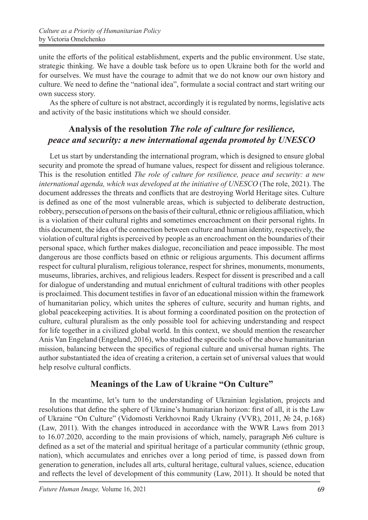unite the efforts of the political establishment, experts and the public environment. Use state, strategic thinking. We have a double task before us to open Ukraine both for the world and for ourselves. We must have the courage to admit that we do not know our own history and culture. We need to define the "national idea", formulate a social contract and start writing our own success story.

As the sphere of culture is not abstract, accordingly it is regulated by norms, legislative acts and activity of the basic institutions which we should consider.

### **Analysis of the resolution** *The role of culture for resilience, peace and security: a new international agenda promoted by UNESCO*

Let us start by understanding the international program, which is designed to ensure global security and promote the spread of humane values, respect for dissent and religious tolerance. This is the resolution entitled *The role of culture for resilience, peace and security: a new international agenda, which was developed at the initiative of UNESCO* (The role, 2021). The document addresses the threats and conflicts that are destroying World Heritage sites. Culture is defined as one of the most vulnerable areas, which is subjected to deliberate destruction, robbery, persecution of persons on the basis of their cultural, ethnic or religious affiliation, which is a violation of their cultural rights and sometimes encroachment on their personal rights. In this document, the idea of the connection between culture and human identity, respectively, the violation of cultural rights is perceived by people as an encroachment on the boundaries of their personal space, which further makes dialogue, reconciliation and peace impossible. The most dangerous are those conflicts based on ethnic or religious arguments. This document affirms respect for cultural pluralism, religious tolerance, respect for shrines, monuments, monuments, museums, libraries, archives, and religious leaders. Respect for dissent is prescribed and a call for dialogue of understanding and mutual enrichment of cultural traditions with other peoples is proclaimed. This document testifies in favor of an educational mission within the framework of humanitarian policy, which unites the spheres of culture, security and human rights, and global peacekeeping activities. It is about forming a coordinated position on the protection of culture, cultural pluralism as the only possible tool for achieving understanding and respect for life together in a civilized global world. In this context, we should mention the researcher Anis Van Engeland (Engeland, 2016), who studied the specific tools of the above humanitarian mission, balancing between the specifics of regional culture and universal human rights. The author substantiated the idea of creating a criterion, a certain set of universal values that would help resolve cultural conflicts.

### **Meanings of the Law of Ukraine "On Culture"**

In the meantime, let's turn to the understanding of Ukrainian legislation, projects and resolutions that define the sphere of Ukraine's humanitarian horizon: first of all, it is the Law of Ukraine "On Culture" (Vidomosti Verkhovnoi Rady Ukrainy (VVR), 2011, № 24, p.168) (Law, 2011). With the changes introduced in accordance with the WWR Laws from 2013 to 16.07.2020, according to the main provisions of which, namely, paragraph №6 culture is defined as a set of the material and spiritual heritage of a particular community (ethnic group, nation), which accumulates and enriches over a long period of time, is passed down from generation to generation, includes all arts, cultural heritage, cultural values, science, education and reflects the level of development of this community (Law, 2011). It should be noted that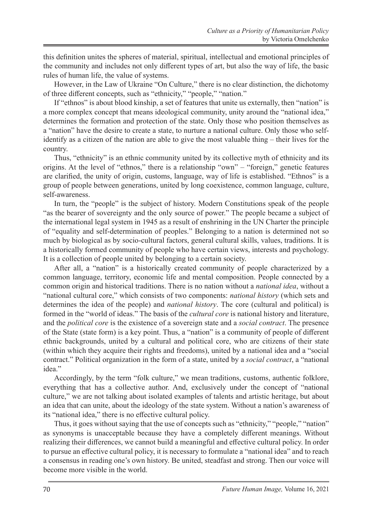this definition unites the spheres of material, spiritual, intellectual and emotional principles of the community and includes not only different types of art, but also the way of life, the basic rules of human life, the value of systems.

However, in the Law of Ukraine "On Culture," there is no clear distinction, the dichotomy of three different concepts, such as "ethnicity," "people," "nation."

If "ethnos" is about blood kinship, a set of features that unite us externally, then "nation" is a more complex concept that means ideological community, unity around the "national idea," determines the formation and protection of the state. Only those who position themselves as a "nation" have the desire to create a state, to nurture a national culture. Only those who selfidentify as a citizen of the nation are able to give the most valuable thing – their lives for the country.

Thus, "ethnicity" is an ethnic community united by its collective myth of ethnicity and its origins. At the level of "ethnos," there is a relationship "own" – "foreign," genetic features are clarified, the unity of origin, customs, language, way of life is established. "Ethnos" is a group of people between generations, united by long coexistence, common language, culture, self-awareness.

In turn, the "people" is the subject of history. Modern Constitutions speak of the people "as the bearer of sovereignty and the only source of power." The people became a subject of the international legal system in 1945 as a result of enshrining in the UN Charter the principle of "equality and self-determination of peoples." Belonging to a nation is determined not so much by biological as by socio-cultural factors, general cultural skills, values, traditions. It is a historically formed community of people who have certain views, interests and psychology. It is a collection of people united by belonging to a certain society.

After all, a "nation" is a historically created community of people characterized by a common language, territory, economic life and mental composition. People connected by a common origin and historical traditions. There is no nation without a *national idea*, without a "national cultural core," which consists of two components: *national history* (which sets and determines the idea of the people) and *national history*. The core (cultural and political) is formed in the "world of ideas." The basis of the *cultural core* is national history and literature, and the *political core* is the existence of a sovereign state and a *social contract*. The presence of the State (state form) is a key point. Thus, a "nation" is a community of people of different ethnic backgrounds, united by a cultural and political core, who are citizens of their state (within which they acquire their rights and freedoms), united by a national idea and a "social contract." Political organization in the form of a state, united by a *social contract*, a "national idea"

Accordingly, by the term "folk culture," we mean traditions, customs, authentic folklore, everything that has a collective author. And, exclusively under the concept of "national culture," we are not talking about isolated examples of talents and artistic heritage, but about an idea that can unite, about the ideology of the state system. Without a nation's awareness of its "national idea," there is no effective cultural policy.

Thus, it goes without saying that the use of concepts such as "ethnicity," "people," "nation" as synonyms is unacceptable because they have a completely different meanings. Without realizing their differences, we cannot build a meaningful and effective cultural policy. In order to pursue an effective cultural policy, it is necessary to formulate a "national idea" and to reach a consensus in reading one's own history. Be united, steadfast and strong. Then our voice will become more visible in the world.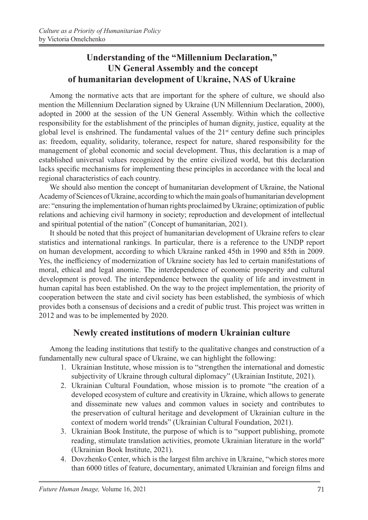# **Understanding of the "Millennium Declaration," UN General Assembly and the concept of humanitarian development of Ukraine, NAS of Ukraine**

Among the normative acts that are important for the sphere of culture, we should also mention the Millennium Declaration signed by Ukraine (UN Millennium Declaration, 2000), adopted in 2000 at the session of the UN General Assembly. Within which the collective responsibility for the establishment of the principles of human dignity, justice, equality at the global level is enshrined. The fundamental values of the  $21<sup>st</sup>$  century define such principles as: freedom, equality, solidarity, tolerance, respect for nature, shared responsibility for the management of global economic and social development. Thus, this declaration is a map of established universal values recognized by the entire civilized world, but this declaration lacks specific mechanisms for implementing these principles in accordance with the local and regional characteristics of each country.

We should also mention the concept of humanitarian development of Ukraine, the National Academy of Sciences of Ukraine, according to which the main goals of humanitarian development are: "ensuring the implementation of human rights proclaimed by Ukraine; optimization of public relations and achieving civil harmony in society; reproduction and development of intellectual and spiritual potential of the nation" (Concept of humanitarian, 2021).

It should be noted that this project of humanitarian development of Ukraine refers to clear statistics and international rankings. In particular, there is a reference to the UNDP report on human development, according to which Ukraine ranked 45th in 1990 and 85th in 2009. Yes, the inefficiency of modernization of Ukraine society has led to certain manifestations of moral, ethical and legal anomie. The interdependence of economic prosperity and cultural development is proved. The interdependence between the quality of life and investment in human capital has been established. On the way to the project implementation, the priority of cooperation between the state and civil society has been established, the symbiosis of which provides both a consensus of decisions and a credit of public trust. This project was written in 2012 and was to be implemented by 2020.

## **Newly created institutions of modern Ukrainian culture**

Among the leading institutions that testify to the qualitative changes and construction of a fundamentally new cultural space of Ukraine, we can highlight the following:

- 1. Ukrainian Institute, whose mission is to "strengthen the international and domestic subjectivity of Ukraine through cultural diplomacy" (Ukrainian Institute, 2021).
- 2. Ukrainian Cultural Foundation, whose mission is to promote "the creation of a developed ecosystem of culture and creativity in Ukraine, which allows to generate and disseminate new values and common values in society and contributes to the preservation of cultural heritage and development of Ukrainian culture in the context of modern world trends" (Ukrainian Cultural Foundation, 2021).
- 3. Ukrainian Book Institute, the purpose of which is to "support publishing, promote reading, stimulate translation activities, promote Ukrainian literature in the world" (Ukrainian Book Institute, 2021).
- 4. Dovzhenko Center, which is the largest film archive in Ukraine, "which stores more than 6000 titles of feature, documentary, animated Ukrainian and foreign films and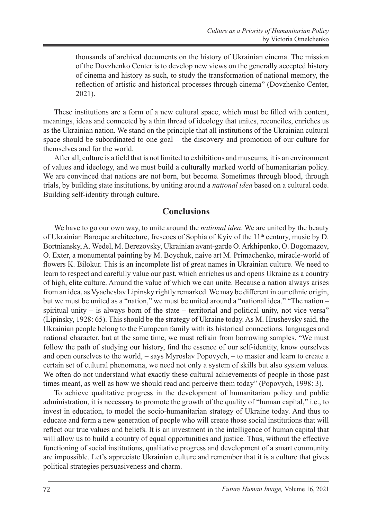thousands of archival documents on the history of Ukrainian cinema. The mission of the Dovzhenko Center is to develop new views on the generally accepted history of cinema and history as such, to study the transformation of national memory, the reflection of artistic and historical processes through cinema" (Dovzhenko Center, 2021).

These institutions are a form of a new cultural space, which must be filled with content, meanings, ideas and connected by a thin thread of ideology that unites, reconciles, enriches us as the Ukrainian nation. We stand on the principle that all institutions of the Ukrainian cultural space should be subordinated to one goal – the discovery and promotion of our culture for themselves and for the world.

After all, culture is a field that is not limited to exhibitions and museums, it is an environment of values and ideology, and we must build a culturally marked world of humanitarian policy. We are convinced that nations are not born, but become. Sometimes through blood, through trials, by building state institutions, by uniting around a *national idea* based on a cultural code. Building self-identity through culture.

#### **Conclusions**

We have to go our own way, to unite around the *national idea*. We are united by the beauty of Ukrainian Baroque architecture, frescoes of Sophia of Kyiv of the 11<sup>th</sup> century, music by D. Bortniansky, A. Wedel, M. Berezovsky, Ukrainian avant-garde O. Arkhipenko, O. Bogomazov, O. Exter, a monumental painting by M. Boychuk, naive art M. Primachenko, miracle-world of flowers K. Bilokur. This is an incomplete list of great names in Ukrainian culture. We need to learn to respect and carefully value our past, which enriches us and opens Ukraine as a country of high, elite culture. Around the value of which we can unite. Because a nation always arises from an idea, as Vyacheslav Lipinsky rightly remarked. We may be different in our ethnic origin, but we must be united as a "nation," we must be united around a "national idea." "The nation – spiritual unity  $-$  is always born of the state  $-$  territorial and political unity, not vice versa" (Lipinsky, 1928: 65). This should be the strategy of Ukraine today. As M. Hrushevsky said, the Ukrainian people belong to the European family with its historical connections. languages and national character, but at the same time, we must refrain from borrowing samples. "We must follow the path of studying our history, find the essence of our self-identity, know ourselves and open ourselves to the world, – says Myroslav Popovych, – to master and learn to create a certain set of cultural phenomena, we need not only a system of skills but also system values. We often do not understand what exactly these cultural achievements of people in those past times meant, as well as how we should read and perceive them today" (Popovych, 1998: 3).

To achieve qualitative progress in the development of humanitarian policy and public administration, it is necessary to promote the growth of the quality of "human capital," i.e., to invest in education, to model the socio-humanitarian strategy of Ukraine today. And thus to educate and form a new generation of people who will create those social institutions that will reflect our true values and beliefs. It is an investment in the intelligence of human capital that will allow us to build a country of equal opportunities and justice. Thus, without the effective functioning of social institutions, qualitative progress and development of a smart community are impossible. Let's appreciate Ukrainian culture and remember that it is a culture that gives political strategies persuasiveness and charm.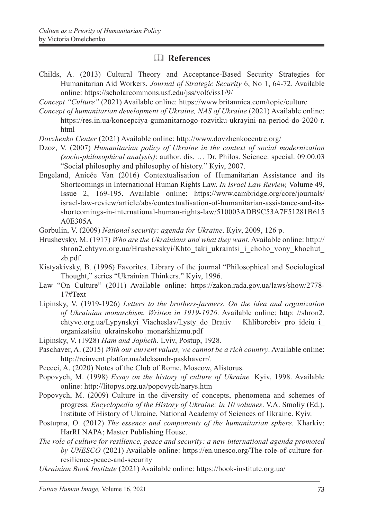### & **References**

- Childs, A. (2013) Cultural Theory and Acceptance-Based Security Strategies for Humanitarian Aid Workers. *Journal of Strategic Security* 6, No 1, 64-72. Available online: https://scholarcommons.usf.edu/jss/vol6/iss1/9/
- *Concept "Culture"* (2021) Available online: https://www.britannica.com/topic/culture
- *Concept of humanitarian development of Ukraine, NAS of Ukraine* (2021) Available online: https://res.in.ua/koncepciya-gumanitarnogo-rozvitku-ukrayini-na-period-do-2020-r. html
- *Dovzhenko Center* (2021) Available online: http://www.dovzhenkocentre.org/
- Dzoz, V. (2007) *Humanitarian policy of Ukraine in the context of social modernization (socio-philosophical analysis)*: author. dis. … Dr. Philos. Science: special. 09.00.03 "Social philosophy and philosophy of history." Кyiv, 2007.
- Engeland, Anicée Van (2016) Contextualisation of Humanitarian Assistance and its Shortcomings in International Human Rights Law. *In Israel Law Review,* Volume 49, Issue 2, 169-195. Available online: https://www.cambridge.org/core/journals/ israel-law-review/article/abs/contextualisation-of-humanitarian-assistance-and-itsshortcomings-in-international-human-rights-law/510003ADB9C53A7F51281B615 A0E305A
- Gorbulin, V. (2009) *National security: agenda for Ukraine*. Кyiv, 2009, 126 p.
- Hrushevsky, M. (1917) *Who are the Ukrainians and what they want*. Available online: http:// shron2.chtyvo.org.ua/Hrushevskyi/Khto taki ukraintsi i choho vony khochut zb.pdf
- Kistyakivsky, B. (1996) Favorites. Library of the journal "Philosophical and Sociological Thought," series "Ukrainian Thinkers." Kyiv, 1996.
- Law "On Culture" (2011) Available online: https://zakon.rada.gov.ua/laws/show/2778- 17#Text
- Lipinsky, V. (1919-1926) *Letters to the brothers-farmers. On the idea and organization of Ukrainian monarchism. Written in 1919-1926*. Available online: http: //shron2. chtyvo.org.ua/Lypynskyi Viacheslav/Lysty do Brativ Khliborobiv pro ideiu i organizatsiiu\_ukrainskoho\_monarkhizmu.pdf
- Lipinsky, V. (1928) *Ham and Japheth*. Lviv, Postup, 1928.
- Paschaver, A. (2015) *With our current values, we cannot be a rich country*. Available online: http://reinvent.platfor.ma/aleksandr-paskhaverr/.
- Peccei, A. (2020) Notes of the Club of Rome. Moscow, Alistorus.
- Popovych, M. (1998) *Essay on the history of culture of Ukraine.* Kyiv, 1998. Available online: http://litopys.org.ua/popovych/narys.htm
- Popovych, M. (2009) Culture in the diversity of concepts, phenomena and schemes of progress. *Encyclopedia of the History of Ukraine: in 10 volumes*. V.A. Smoliy (Ed.). Institute of History of Ukraine, National Academy of Sciences of Ukraine. Кyiv.
- Postupna, O. (2012) *The essence and components of the humanitarian sphere*. Kharkiv: HarRI NAPA; Master Publishing House.
- *The role of culture for resilience, peace and security: a new international agenda promoted by UNESCO* (2021) Available online: https://en.unesco.org/The-role-of-culture-forresilience-peace-and-security
- *Ukrainian Book Institute* (2021) Available online: https://book-institute.org.ua/